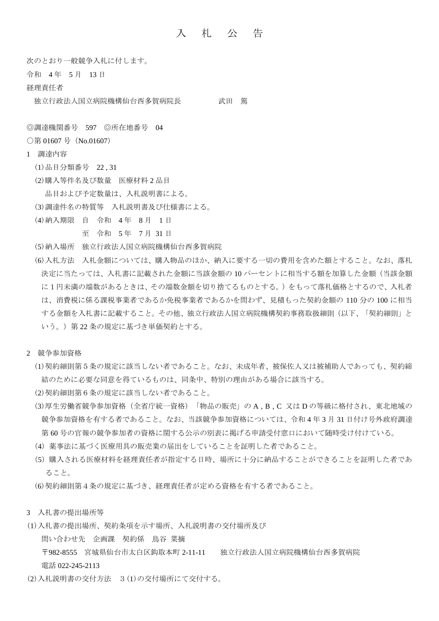## 入 札 公 告

次のとおり一般競争入札に付します。

- 令和 4 年 5 月 13 日
- 経理責任者

独立行政法人国立病院機構仙台西多賀病院長 武田 篤

◎調達機関番号 597 ◎所在地番号 04

- ○第 01607 号 (No.01607)
- 1 調達内容
	- (1)品目分類番号 22 , 31
	- (2)購入等件名及び数量 医療材料 2 品目
	- 品目および予定数量は、入札説明書による。
	- (3)調達件名の特質等 入札説明書及び仕様書による。
	- (4)納入期限 自 令和 4 年 8 月 1 日

至 令和 5 年 7 月 31 日

- (5)納入場所 独立行政法人国立病院機構仙台西多賀病院
- (6)入札方法 入札金額については、購入物品のほか、納入に要する一切の費用を含めた額とすること。なお、落札 決定に当たっては、入札書に記載された金額に当該金額の10パーセントに相当する額を加算した金額(当該金額 に1円未満の端数があるときは、その端数金額を切り捨てるものとする。)をもって落札価格とするので、入札者 は、消費税に係る課税事業者であるか免税事業者であるかを問わず、見積もった契約金額の 110 分の 100 に相当 する金額を入札書に記載すること。その他、独立行政法人国立病院機構契約事務取扱細則(以下、「契約細則」と いう。)第 22 条の規定に基づき単価契約とする。
- 2 競争参加資格
	- (1)契約細則第5条の規定に該当しない者であること。なお、未成年者、被保佐人又は被補助人であっても、契約締 結のために必要な同意を得ているものは、同条中、特別の理由がある場合に該当する。
	- (2)契約細則第6条の規定に該当しない者であること。
	- (3)厚生労働省競争参加資格(全省庁統一資格)「物品の販売」の A , B , C 又は D の等級に格付され、東北地域の 競争参加資格を有する者であること。なお、当該競争参加資格については、令和 4 年 3 月 31 日付け号外政府調達 第 60 号の官報の競争参加者の資格に関する公示の別表に掲げる申請受付窓口において随時受け付けている。
	- (4)薬事法に基づく医療用具の販売業の届出をしていることを証明した者であること。
	- (5)購入される医療材料を経理責任者が指定する日時、場所に十分に納品することができることを証明した者であ ること。
	- (6)契約細則第4条の規定に基づき、経理責任者が定める資格を有する者であること。
- 3 入札書の提出場所等
- (1)入札書の提出場所、契約条項を示す場所、入札説明書の交付場所及び
	- 問い合わせ先 企画課 契約係 鳥谷 菜摘
	- 〒982-8555 宮城県仙台市太白区鈎取本町 2-11-11 独立行政法人国立病院機構仙台西多賀病院 電話 022-245-2113
- (2)入札説明書の交付方法 3(1)の交付場所にて交付する。